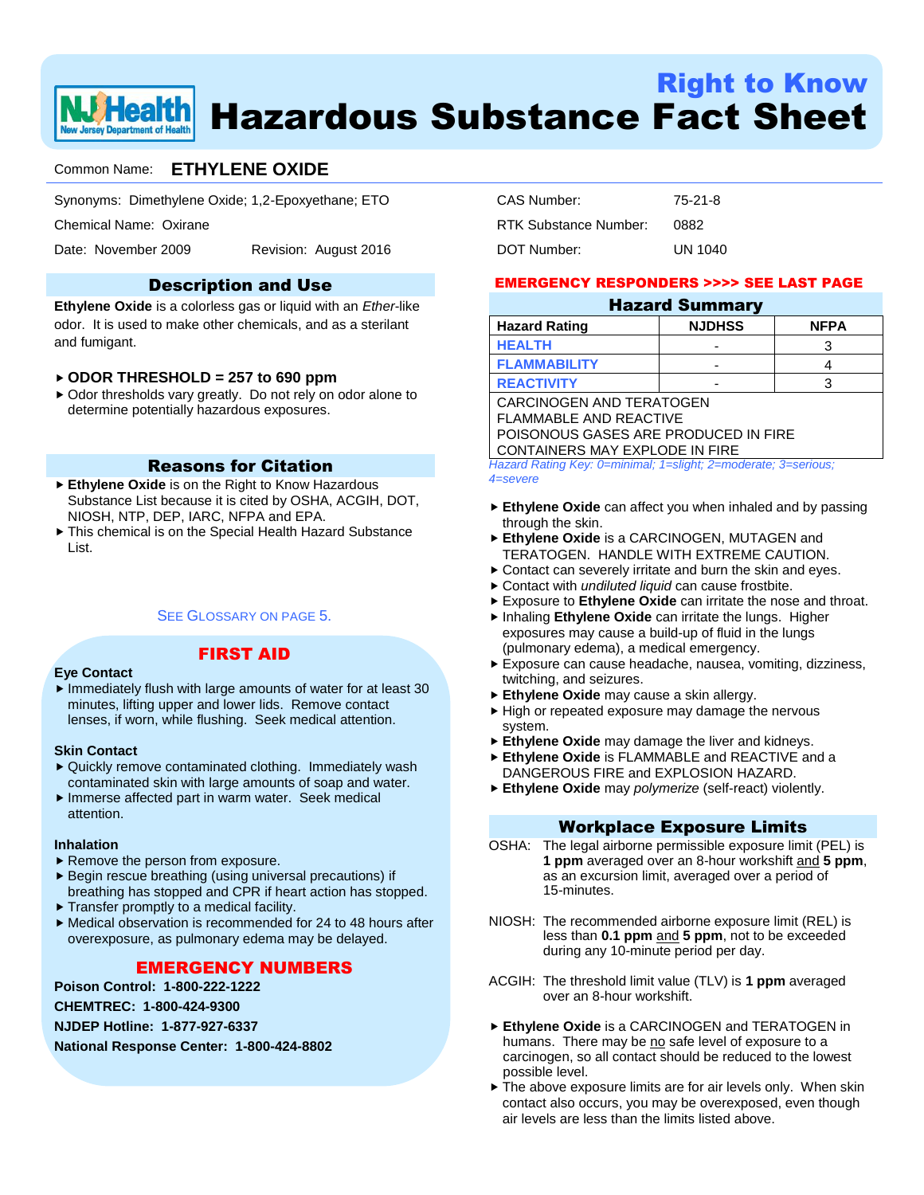

# Right to Know Hazardous Substance Fact Sheet

# Common Name: **ETHYLENE OXIDE**

Synonyms: Dimethylene Oxide; 1,2-Epoxyethane; ETO

Chemical Name: Oxirane

Date: November 2009 Revision: August 2016

#### Description and Use

**Ethylene Oxide** is a colorless gas or liquid with an *Ether*-like odor. It is used to make other chemicals, and as a sterilant and fumigant.

#### **ODOR THRESHOLD = 257 to 690 ppm**

 Odor thresholds vary greatly. Do not rely on odor alone to determine potentially hazardous exposures.

#### Reasons for Citation

- **Ethylene Oxide** is on the Right to Know Hazardous Substance List because it is cited by OSHA, ACGIH, DOT, NIOSH, NTP, DEP, IARC, NFPA and EPA.
- This chemical is on the Special Health Hazard Substance List.

#### SEE GLOSSARY ON PAGE 5.

FIRST AID

#### **Eye Contact**

 $\blacktriangleright$  Immediately flush with large amounts of water for at least 30 minutes, lifting upper and lower lids. Remove contact lenses, if worn, while flushing. Seek medical attention.

#### **Skin Contact**

- ▶ Quickly remove contaminated clothing. Immediately wash contaminated skin with large amounts of soap and water.
- Immerse affected part in warm water. Seek medical attention.

#### **Inhalation**

- Remove the person from exposure.
- $\triangleright$  Begin rescue breathing (using universal precautions) if breathing has stopped and CPR if heart action has stopped.
- $\triangleright$  Transfer promptly to a medical facility.
- Medical observation is recommended for 24 to 48 hours after overexposure, as pulmonary edema may be delayed.

#### EMERGENCY NUMBERS

**Poison Control: 1-800-222-1222**

**CHEMTREC: 1-800-424-9300**

**NJDEP Hotline: 1-877-927-6337**

**National Response Center: 1-800-424-8802**

| CAS Number:           | 75-21-8 |
|-----------------------|---------|
| RTK Substance Number: | 0882    |
| DOT Number:           | UN 1040 |

#### EMERGENCY RESPONDERS >>>> SEE LAST PAGE

#### Hazard Summary

| <b>Hazard Rating</b> | <b>NJDHSS</b> | <b>NFPA</b> |
|----------------------|---------------|-------------|
| <b>HEALTH</b>        |               |             |
| <b>FLAMMABILITY</b>  |               |             |
| <b>REACTIVITY</b>    |               |             |

CARCINOGEN AND TERATOGEN FLAMMABLE AND REACTIVE POISONOUS GASES ARE PRODUCED IN FIRE CONTAINERS MAY EXPLODE IN FIRE

*Hazard Rating Key: 0=minimal; 1=slight; 2=moderate; 3=serious; 4=severe*

- **Ethylene Oxide** can affect you when inhaled and by passing through the skin.
- **Ethylene Oxide** is a CARCINOGEN, MUTAGEN and TERATOGEN. HANDLE WITH EXTREME CAUTION.
- Contact can severely irritate and burn the skin and eyes.
- Contact with *undiluted liquid* can cause frostbite.
- Exposure to **Ethylene Oxide** can irritate the nose and throat.
- **Inhaling Ethylene Oxide** can irritate the lungs. Higher exposures may cause a build-up of fluid in the lungs (pulmonary edema), a medical emergency.
- Exposure can cause headache, nausea, vomiting, dizziness, twitching, and seizures.
- **Ethylene Oxide** may cause a skin allergy.
- ► High or repeated exposure may damage the nervous system.
- **Ethylene Oxide** may damage the liver and kidneys.
- **Ethylene Oxide** is FLAMMABLE and REACTIVE and a DANGEROUS FIRE and EXPLOSION HAZARD.
- **Ethylene Oxide** may *polymerize* (self-react) violently.

#### Workplace Exposure Limits

- OSHA: The legal airborne permissible exposure limit (PEL) is **1 ppm** averaged over an 8-hour workshift and **5 ppm**, as an excursion limit, averaged over a period of 15-minutes.
- NIOSH: The recommended airborne exposure limit (REL) is less than **0.1 ppm** and **5 ppm**, not to be exceeded during any 10-minute period per day.
- ACGIH: The threshold limit value (TLV) is **1 ppm** averaged over an 8-hour workshift.
- **Ethylene Oxide** is a CARCINOGEN and TERATOGEN in humans. There may be no safe level of exposure to a carcinogen, so all contact should be reduced to the lowest possible level.
- The above exposure limits are for air levels only. When skin contact also occurs, you may be overexposed, even though air levels are less than the limits listed above.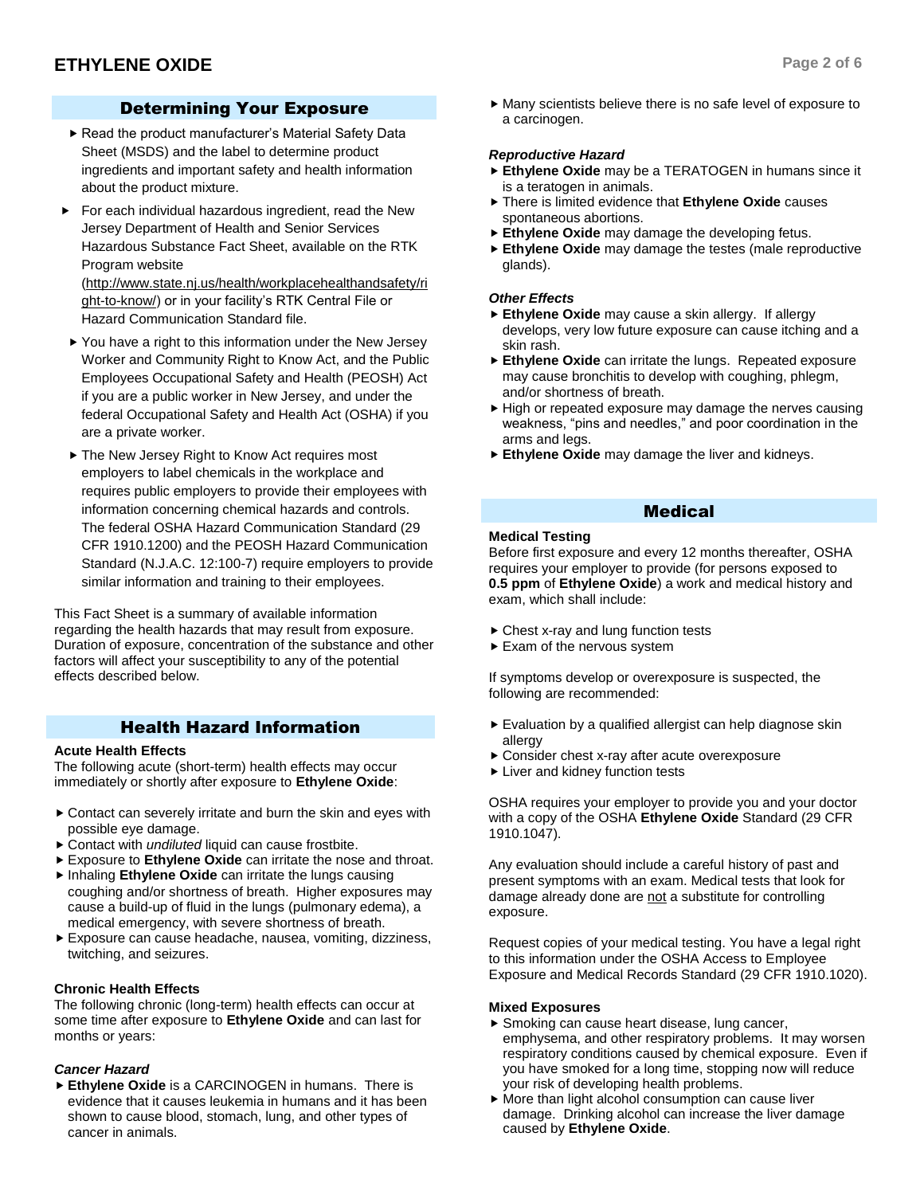# Determining Your Exposure

- Read the product manufacturer's Material Safety Data Sheet (MSDS) and the label to determine product ingredients and important safety and health information about the product mixture.
- For each individual hazardous ingredient, read the New Jersey Department of Health and Senior Services Hazardous Substance Fact Sheet, available on the RTK Program website (http://www.state.nj.us/health/workplacehealthandsafety/ri

ght-to-know/) or in your facility's RTK Central File or Hazard Communication Standard file.

- ▶ You have a right to this information under the New Jersey Worker and Community Right to Know Act, and the Public Employees Occupational Safety and Health (PEOSH) Act if you are a public worker in New Jersey, and under the federal Occupational Safety and Health Act (OSHA) if you are a private worker.
- ▶ The New Jersey Right to Know Act requires most employers to label chemicals in the workplace and requires public employers to provide their employees with information concerning chemical hazards and controls. The federal OSHA Hazard Communication Standard (29 CFR 1910.1200) and the PEOSH Hazard Communication Standard (N.J.A.C. 12:100-7) require employers to provide similar information and training to their employees.

This Fact Sheet is a summary of available information regarding the health hazards that may result from exposure. Duration of exposure, concentration of the substance and other factors will affect your susceptibility to any of the potential effects described below.

### Health Hazard Information

#### **Acute Health Effects**

The following acute (short-term) health effects may occur immediately or shortly after exposure to **Ethylene Oxide**:

- Contact can severely irritate and burn the skin and eyes with possible eye damage.
- Contact with *undiluted* liquid can cause frostbite.
- Exposure to **Ethylene Oxide** can irritate the nose and throat.
- Inhaling **Ethylene Oxide** can irritate the lungs causing coughing and/or shortness of breath. Higher exposures may cause a build-up of fluid in the lungs (pulmonary edema), a medical emergency, with severe shortness of breath.
- Exposure can cause headache, nausea, vomiting, dizziness, twitching, and seizures.

#### **Chronic Health Effects**

The following chronic (long-term) health effects can occur at some time after exposure to **Ethylene Oxide** and can last for months or years:

#### *Cancer Hazard*

 **Ethylene Oxide** is a CARCINOGEN in humans. There is evidence that it causes leukemia in humans and it has been shown to cause blood, stomach, lung, and other types of cancer in animals.

 Many scientists believe there is no safe level of exposure to a carcinogen.

#### *Reproductive Hazard*

- **Ethylene Oxide** may be a TERATOGEN in humans since it is a teratogen in animals.
- There is limited evidence that **Ethylene Oxide** causes spontaneous abortions.
- **Ethylene Oxide** may damage the developing fetus.
- **Ethylene Oxide** may damage the testes (male reproductive glands).

#### *Other Effects*

- **Ethylene Oxide** may cause a skin allergy. If allergy develops, very low future exposure can cause itching and a skin rash.
- **Ethylene Oxide** can irritate the lungs. Repeated exposure may cause bronchitis to develop with coughing, phlegm, and/or shortness of breath.
- $\blacktriangleright$  High or repeated exposure may damage the nerves causing weakness, "pins and needles," and poor coordination in the arms and legs.
- **Ethylene Oxide** may damage the liver and kidneys.

#### Medical

#### **Medical Testing**

Before first exposure and every 12 months thereafter, OSHA requires your employer to provide (for persons exposed to **0.5 ppm** of **Ethylene Oxide**) a work and medical history and exam, which shall include:

- ► Chest x-ray and lung function tests
- Exam of the nervous system

If symptoms develop or overexposure is suspected, the following are recommended:

- Evaluation by a qualified allergist can help diagnose skin allergy
- Consider chest x-ray after acute overexposure
- Liver and kidney function tests

OSHA requires your employer to provide you and your doctor with a copy of the OSHA **Ethylene Oxide** Standard (29 CFR 1910.1047).

Any evaluation should include a careful history of past and present symptoms with an exam. Medical tests that look for damage already done are not a substitute for controlling exposure.

Request copies of your medical testing. You have a legal right to this information under the OSHA Access to Employee Exposure and Medical Records Standard (29 CFR 1910.1020).

#### **Mixed Exposures**

- ▶ Smoking can cause heart disease, lung cancer, emphysema, and other respiratory problems. It may worsen respiratory conditions caused by chemical exposure. Even if you have smoked for a long time, stopping now will reduce your risk of developing health problems.
- More than light alcohol consumption can cause liver damage. Drinking alcohol can increase the liver damage caused by **Ethylene Oxide**.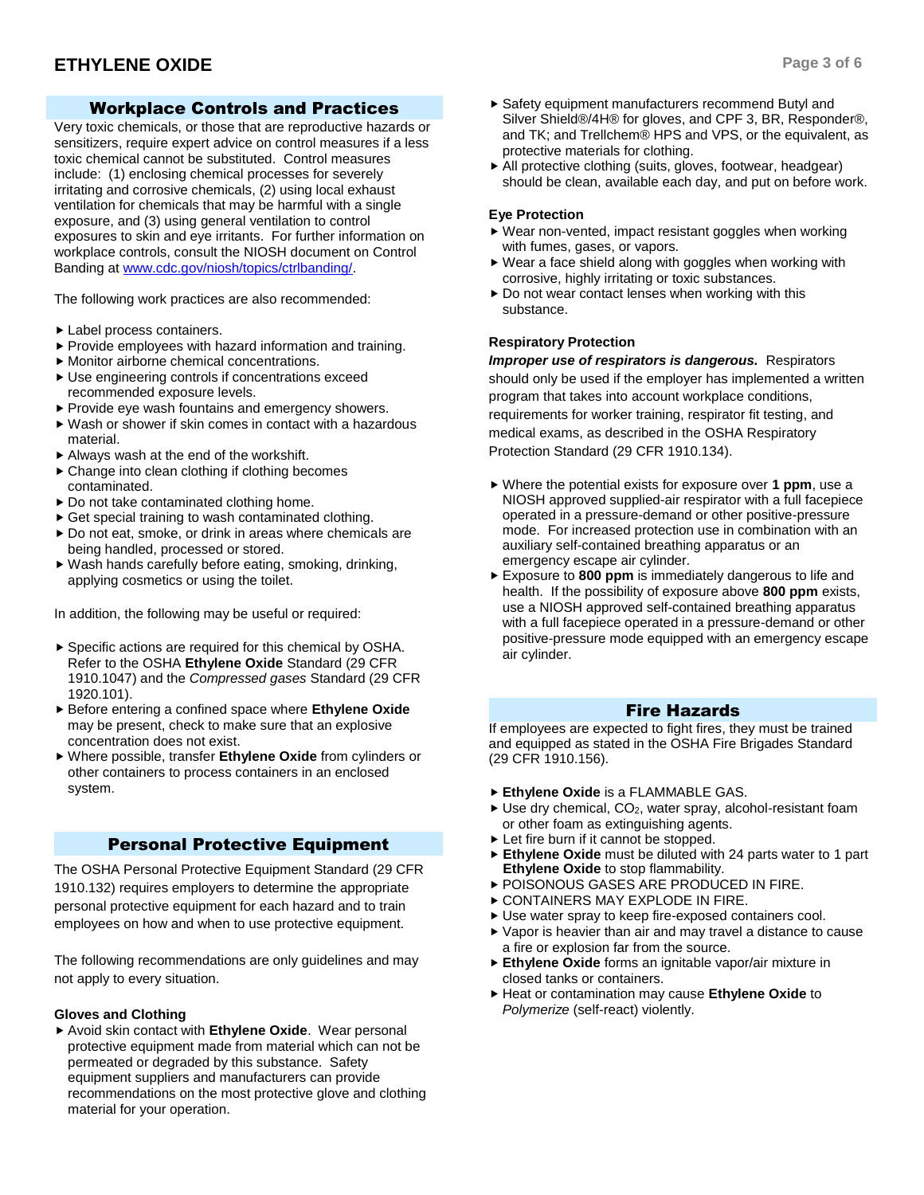# Workplace Controls and Practices

Very toxic chemicals, or those that are reproductive hazards or sensitizers, require expert advice on control measures if a less toxic chemical cannot be substituted. Control measures include: (1) enclosing chemical processes for severely irritating and corrosive chemicals, (2) using local exhaust ventilation for chemicals that may be harmful with a single exposure, and (3) using general ventilation to control exposures to skin and eye irritants. For further information on workplace controls, consult the NIOSH document on Control Banding a[t www.cdc.gov/niosh/topics/ctrlbanding/.](http://www.cdc.gov/niosh/topics/ctrlbanding/)

The following work practices are also recommended:

- Label process containers.
- $\blacktriangleright$  Provide employees with hazard information and training.
- Monitor airborne chemical concentrations.
- Use engineering controls if concentrations exceed recommended exposure levels.
- ▶ Provide eye wash fountains and emergency showers.
- Wash or shower if skin comes in contact with a hazardous material.
- Always wash at the end of the workshift.
- ▶ Change into clean clothing if clothing becomes contaminated.
- ▶ Do not take contaminated clothing home.
- ▶ Get special training to wash contaminated clothing.
- ▶ Do not eat, smoke, or drink in areas where chemicals are being handled, processed or stored.
- Wash hands carefully before eating, smoking, drinking, applying cosmetics or using the toilet.

In addition, the following may be useful or required:

- Specific actions are required for this chemical by OSHA. Refer to the OSHA **Ethylene Oxide** Standard (29 CFR 1910.1047) and the *Compressed gases* Standard (29 CFR 1920.101).
- Before entering a confined space where **Ethylene Oxide** may be present, check to make sure that an explosive concentration does not exist.
- Where possible, transfer **Ethylene Oxide** from cylinders or other containers to process containers in an enclosed system.

### Personal Protective Equipment

The OSHA Personal Protective Equipment Standard (29 CFR 1910.132) requires employers to determine the appropriate personal protective equipment for each hazard and to train employees on how and when to use protective equipment.

The following recommendations are only guidelines and may not apply to every situation.

#### **Gloves and Clothing**

 Avoid skin contact with **Ethylene Oxide**. Wear personal protective equipment made from material which can not be permeated or degraded by this substance. Safety equipment suppliers and manufacturers can provide recommendations on the most protective glove and clothing material for your operation.

- ▶ Safety equipment manufacturers recommend Butyl and Silver Shield®/4H® for gloves, and CPF 3, BR, Responder®, and TK; and Trellchem® HPS and VPS, or the equivalent, as protective materials for clothing.
- All protective clothing (suits, gloves, footwear, headgear) should be clean, available each day, and put on before work.

#### **Eye Protection**

- Wear non-vented, impact resistant goggles when working with fumes, gases, or vapors.
- ► Wear a face shield along with goggles when working with corrosive, highly irritating or toxic substances.
- ▶ Do not wear contact lenses when working with this substance.

#### **Respiratory Protection**

*Improper use of respirators is dangerous.* Respirators should only be used if the employer has implemented a written program that takes into account workplace conditions, requirements for worker training, respirator fit testing, and medical exams, as described in the OSHA Respiratory Protection Standard (29 CFR 1910.134).

- Where the potential exists for exposure over **1 ppm**, use a NIOSH approved supplied-air respirator with a full facepiece operated in a pressure-demand or other positive-pressure mode. For increased protection use in combination with an auxiliary self-contained breathing apparatus or an emergency escape air cylinder.
- Exposure to **800 ppm** is immediately dangerous to life and health. If the possibility of exposure above **800 ppm** exists, use a NIOSH approved self-contained breathing apparatus with a full facepiece operated in a pressure-demand or other positive-pressure mode equipped with an emergency escape air cylinder.

### Fire Hazards

If employees are expected to fight fires, they must be trained and equipped as stated in the OSHA Fire Brigades Standard (29 CFR 1910.156).

- **Ethylene Oxide** is a FLAMMABLE GAS.
- $\triangleright$  Use dry chemical, CO<sub>2</sub>, water spray, alcohol-resistant foam or other foam as extinguishing agents.
- ► Let fire burn if it cannot be stopped.
- **Ethylene Oxide** must be diluted with 24 parts water to 1 part **Ethylene Oxide** to stop flammability.
- POISONOUS GASES ARE PRODUCED IN FIRE.
- CONTAINERS MAY EXPLODE IN FIRE.
- Use water spray to keep fire-exposed containers cool.
- ▶ Vapor is heavier than air and may travel a distance to cause a fire or explosion far from the source.
- **Ethylene Oxide** forms an ignitable vapor/air mixture in closed tanks or containers.
- Heat or contamination may cause **Ethylene Oxide** to *Polymerize* (self-react) violently.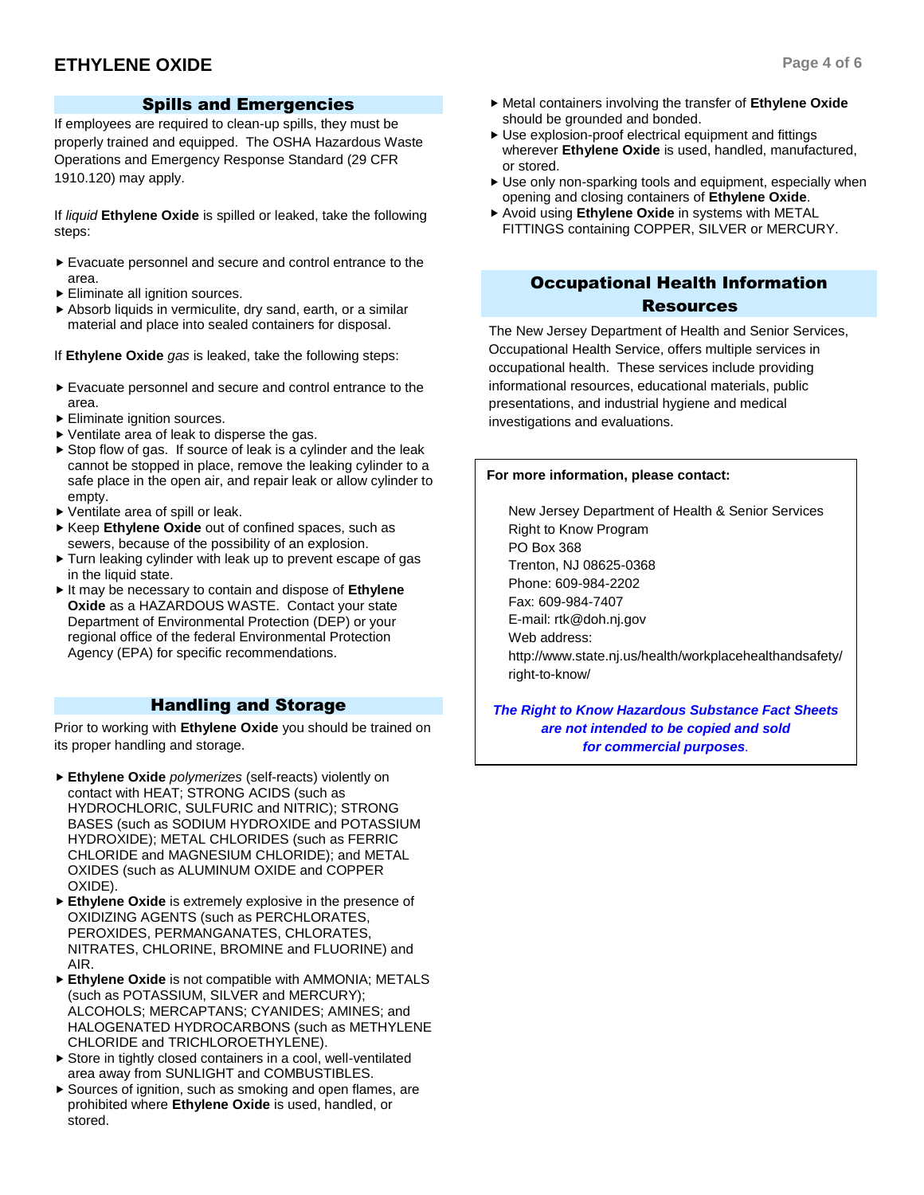# **ETHYLENE OXIDE Page 4 of 6**

### Spills and Emergencies

If employees are required to clean-up spills, they must be properly trained and equipped. The OSHA Hazardous Waste Operations and Emergency Response Standard (29 CFR 1910.120) may apply.

If *liquid* **Ethylene Oxide** is spilled or leaked, take the following steps:

- Evacuate personnel and secure and control entrance to the area.
- Eliminate all ignition sources.
- Absorb liquids in vermiculite, dry sand, earth, or a similar material and place into sealed containers for disposal.

If **Ethylene Oxide** *gas* is leaked, take the following steps:

- Evacuate personnel and secure and control entrance to the area.
- Eliminate ignition sources.
- ▶ Ventilate area of leak to disperse the gas.
- ▶ Stop flow of gas. If source of leak is a cylinder and the leak cannot be stopped in place, remove the leaking cylinder to a safe place in the open air, and repair leak or allow cylinder to empty.
- Ventilate area of spill or leak.
- ▶ Keep Ethylene Oxide out of confined spaces, such as sewers, because of the possibility of an explosion.
- ► Turn leaking cylinder with leak up to prevent escape of gas in the liquid state.
- It may be necessary to contain and dispose of **Ethylene Oxide** as a HAZARDOUS WASTE. Contact your state Department of Environmental Protection (DEP) or your regional office of the federal Environmental Protection Agency (EPA) for specific recommendations.

# Handling and Storage

Prior to working with **Ethylene Oxide** you should be trained on its proper handling and storage.

- **Ethylene Oxide** *polymerizes* (self-reacts) violently on contact with HEAT; STRONG ACIDS (such as HYDROCHLORIC, SULFURIC and NITRIC); STRONG BASES (such as SODIUM HYDROXIDE and POTASSIUM HYDROXIDE); METAL CHLORIDES (such as FERRIC CHLORIDE and MAGNESIUM CHLORIDE); and METAL OXIDES (such as ALUMINUM OXIDE and COPPER OXIDE).
- **Ethylene Oxide** is extremely explosive in the presence of OXIDIZING AGENTS (such as PERCHLORATES, PEROXIDES, PERMANGANATES, CHLORATES, NITRATES, CHLORINE, BROMINE and FLUORINE) and AIR.
- **Ethylene Oxide** is not compatible with AMMONIA; METALS (such as POTASSIUM, SILVER and MERCURY); ALCOHOLS; MERCAPTANS; CYANIDES; AMINES; and HALOGENATED HYDROCARBONS (such as METHYLENE CHLORIDE and TRICHLOROETHYLENE).
- Store in tightly closed containers in a cool, well-ventilated area away from SUNLIGHT and COMBUSTIBLES.
- ▶ Sources of ignition, such as smoking and open flames, are prohibited where **Ethylene Oxide** is used, handled, or stored.
- Metal containers involving the transfer of **Ethylene Oxide** should be grounded and bonded.
- Use explosion-proof electrical equipment and fittings wherever **Ethylene Oxide** is used, handled, manufactured, or stored.
- Use only non-sparking tools and equipment, especially when opening and closing containers of **Ethylene Oxide**.
- Avoid using **Ethylene Oxide** in systems with METAL FITTINGS containing COPPER, SILVER or MERCURY.

# Occupational Health Information Resources

The New Jersey Department of Health and Senior Services, Occupational Health Service, offers multiple services in occupational health. These services include providing informational resources, educational materials, public presentations, and industrial hygiene and medical investigations and evaluations.

#### **For more information, please contact:**

New Jersey Department of Health & Senior Services Right to Know Program PO Box 368 Trenton, NJ 08625-0368 Phone: 609-984-2202 Fax: 609-984-7407 E-mail: rtk@doh.nj.gov Web address: http://www.state.nj.us/health/workplacehealthandsafety/ right-to-know/

*The Right to Know Hazardous Substance Fact Sheets are not intended to be copied and sold for commercial purposes.*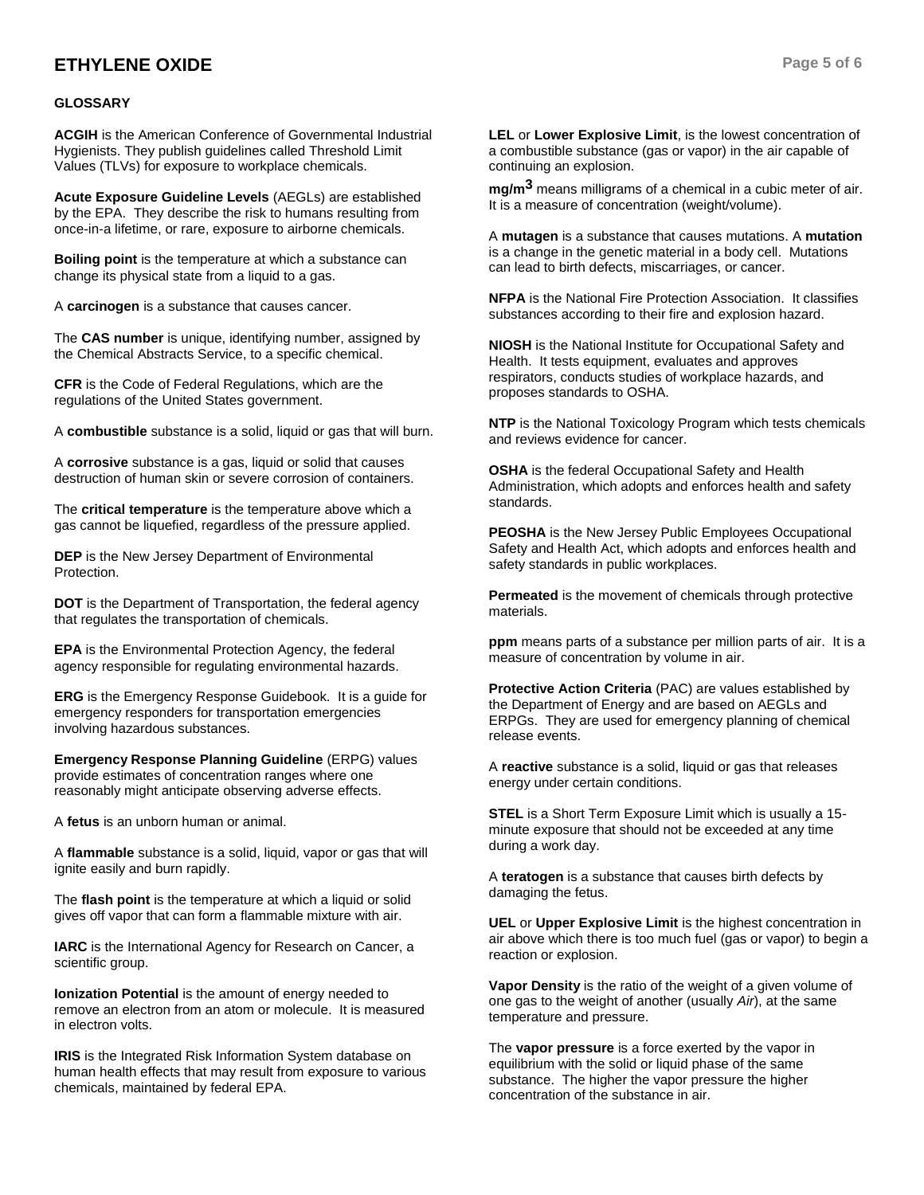# **ETHYLENE OXIDE Page 5 of 6**

#### **GLOSSARY**

**ACGIH** is the American Conference of Governmental Industrial Hygienists. They publish guidelines called Threshold Limit Values (TLVs) for exposure to workplace chemicals.

**Acute Exposure Guideline Levels** (AEGLs) are established by the EPA. They describe the risk to humans resulting from once-in-a lifetime, or rare, exposure to airborne chemicals.

**Boiling point** is the temperature at which a substance can change its physical state from a liquid to a gas.

A **carcinogen** is a substance that causes cancer.

The **CAS number** is unique, identifying number, assigned by the Chemical Abstracts Service, to a specific chemical.

**CFR** is the Code of Federal Regulations, which are the regulations of the United States government.

A **combustible** substance is a solid, liquid or gas that will burn.

A **corrosive** substance is a gas, liquid or solid that causes destruction of human skin or severe corrosion of containers.

The **critical temperature** is the temperature above which a gas cannot be liquefied, regardless of the pressure applied.

**DEP** is the New Jersey Department of Environmental Protection.

**DOT** is the Department of Transportation, the federal agency that regulates the transportation of chemicals.

**EPA** is the Environmental Protection Agency, the federal agency responsible for regulating environmental hazards.

**ERG** is the Emergency Response Guidebook. It is a guide for emergency responders for transportation emergencies involving hazardous substances.

**Emergency Response Planning Guideline** (ERPG) values provide estimates of concentration ranges where one reasonably might anticipate observing adverse effects.

A **fetus** is an unborn human or animal.

A **flammable** substance is a solid, liquid, vapor or gas that will ignite easily and burn rapidly.

The **flash point** is the temperature at which a liquid or solid gives off vapor that can form a flammable mixture with air.

**IARC** is the International Agency for Research on Cancer, a scientific group.

**Ionization Potential** is the amount of energy needed to remove an electron from an atom or molecule. It is measured in electron volts.

**IRIS** is the Integrated Risk Information System database on human health effects that may result from exposure to various chemicals, maintained by federal EPA.

**LEL** or **Lower Explosive Limit**, is the lowest concentration of a combustible substance (gas or vapor) in the air capable of continuing an explosion.

**mg/m3** means milligrams of a chemical in a cubic meter of air. It is a measure of concentration (weight/volume).

A **mutagen** is a substance that causes mutations. A **mutation** is a change in the genetic material in a body cell. Mutations can lead to birth defects, miscarriages, or cancer.

**NFPA** is the National Fire Protection Association. It classifies substances according to their fire and explosion hazard.

**NIOSH** is the National Institute for Occupational Safety and Health. It tests equipment, evaluates and approves respirators, conducts studies of workplace hazards, and proposes standards to OSHA.

**NTP** is the National Toxicology Program which tests chemicals and reviews evidence for cancer.

**OSHA** is the federal Occupational Safety and Health Administration, which adopts and enforces health and safety standards.

**PEOSHA** is the New Jersey Public Employees Occupational Safety and Health Act, which adopts and enforces health and safety standards in public workplaces.

**Permeated** is the movement of chemicals through protective materials.

**ppm** means parts of a substance per million parts of air. It is a measure of concentration by volume in air.

**Protective Action Criteria** (PAC) are values established by the Department of Energy and are based on AEGLs and ERPGs. They are used for emergency planning of chemical release events.

A **reactive** substance is a solid, liquid or gas that releases energy under certain conditions.

**STEL** is a Short Term Exposure Limit which is usually a 15 minute exposure that should not be exceeded at any time during a work day.

A **teratogen** is a substance that causes birth defects by damaging the fetus.

**UEL** or **Upper Explosive Limit** is the highest concentration in air above which there is too much fuel (gas or vapor) to begin a reaction or explosion.

**Vapor Density** is the ratio of the weight of a given volume of one gas to the weight of another (usually *Air*), at the same temperature and pressure.

The **vapor pressure** is a force exerted by the vapor in equilibrium with the solid or liquid phase of the same substance. The higher the vapor pressure the higher concentration of the substance in air.